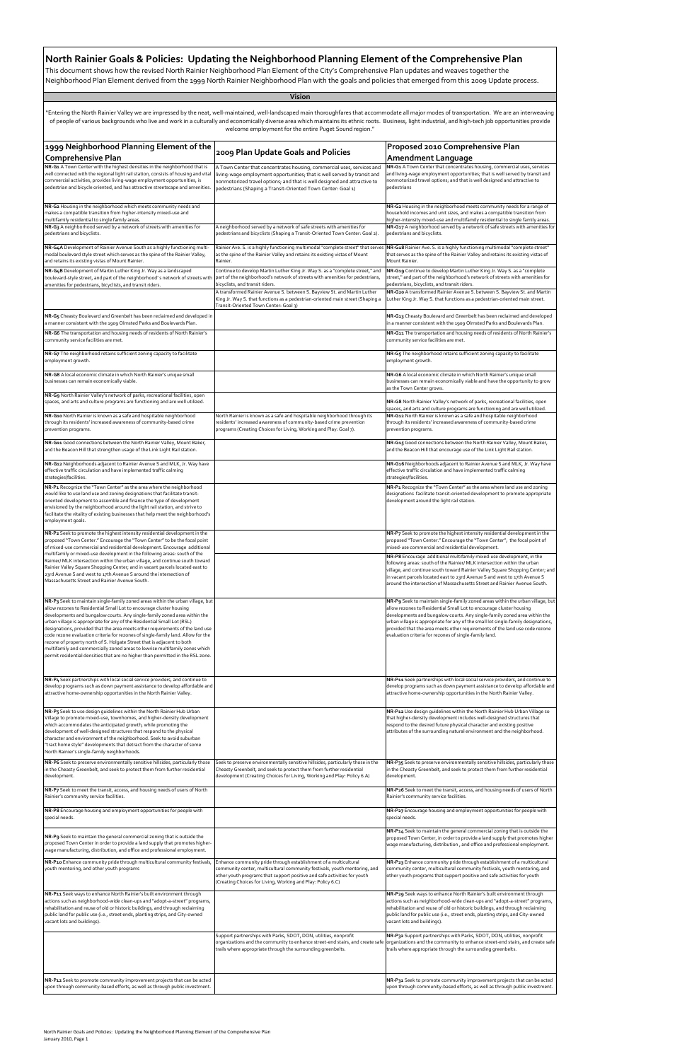1999 Neighborhood Planning Element of the 2009 Plan Update Goals and Policies Proposed 2010 Comprehensive Plan<br>Comprehensive Plan (2009) Plan Update Goals and Policies Amendment Language **Amendment Language NR‐G1** A Town Center with the highest densities in the neighborhood that is ell connected with the regional light rail station, consists of housing and vital commercial activities, provides living‐wage employment opportunities, is pedestrian and bicycle oriented, and has attractive streetscape and amenities. Town Center that concentrates housing, commercial uses, services and ving-wage employment opportunities; that is well served by transit and nonmotorized travel options; and that is well designed and attractive to pedestrians (Shaping a Transit‐Oriented Town Center: Goal 1) **NR‐G1** A Town Center that concentrates housing, commercial uses, services and living‐wage employment opportunities; that is well served by transit and nonmotorized travel options; and that is well designed and attractive to edestrians **NR‐G2** Housing in the neighborhood which meets community needs and makes a compatible transition from higher‐intensity mixed‐use and multifamily residential to single family areas. **NR‐G2** Housing in the neighborhood meets community needs for a range of household incomes and unit sizes, and makes a compatible transition from higher‐intensity mixed‐use and multifamily residential to single family areas. **NR‐G3** A neighborhood served by a network of streets with amenities for edestrians and bicyclists. A neighborhood served by a network of safe streets with amenities for pedestrians and bicyclists (Shaping a Transit‐Oriented Town Center: Goal 2). **NR‐G17** A neighborhood served by a network of safe streets with amenities for pedestrians and bicyclists. **NR‐G4A** Development of Rainier Avenue South as a highly functioning multi‐ nodal boulevard style street which serves as the spine of the Rainier Valley, and retains its existing vistas of Mount Rainier. ainier Ave. S. is a highly functioning multimodal "complete street" that serves s the spine of the Rainier Valley and retains its existing vistas of Mount ainier. **NR‐G18** Rainier Ave. S. is a highly functioning multimodal "complete street" that serves as the spine of the Rainier Valley and retains its existing vistas of Mount Rainier. **NR‐G4B** Development of Martin Luther King Jr. Way as a landscaped ulevard-style street, and part of the neighborhood' s network of streets with menities for pedestrians, bicyclists, and transit riders. ontinue to develop Martin Luther King Jr. Way S. as a "complete street," and art of the neighborhood's network of streets with amenities for pedestrians cyclists, and transit riders. **NR‐G19** Continue to develop Martin Luther King Jr. Way S. as a "complete street," and part of the neighborhood's network of streets with amenities for pedestrians, bicyclists, and transit riders. transformed Rainier Avenue S. between S. Bayview St. and Martin Luther ing Jr. Way S. that functions as a pedestrian-oriented main street (Shaping a ransit-Oriented Town Center: Goal 3) **NR‐G20** A transformed Rainier Avenue S. between S. Bayview St. and Martin Luther King Jr. Way S. that functions as a pedestrian‐oriented main street. **NR-G5** Cheasty Boulevard and Greenbelt has been reclaimed and developed in a manner consistent with the 1909 Olmsted Parks and Boulevards Plan. **NR-G13** Cheasty Boulevard and Greenbelt has been reclaimed and developed in a manner consistent with the 1909 Olmsted Parks and Boulevards Plan. **NR‐G6** The transportation and housing needs of residents of North Rainier's munity service facilities are met. **NR‐G11** The transportation and housing needs of residents of North Rainier's mmunity service facilities are met. **NR‐G7** The neighborhood retains sufficient zoning capacity to facilitate nployment growth. **NR‐G5** The neighborhood retains sufficient zoning capacity to facilitate employment growth. **NR‐G8** A local economic climate in which North Rainier's unique small usinesses can remain economically viable. **NR‐G6** A local economic climate in which North Rainier's unique small businesses can remain economically viable and have the opportunity to grow as the Town Center grows. **NR‐G9** North Rainier Valley's network of parks, recreational facilities, open paces, and arts and culture programs are functioning and are well utilized. **NR• NR•<b>G8** North Rainier Valley's network of parks, recreational facilities, open spaces, and arts and culture programs are functioning and are well utilized. **NR-G10** North Rainier is known as a safe and hospitable neighborhood through its residents' increased awareness of community‐based crime revention programs. orth Rainier is known as a safe and hospitable neighborhood through i esidents' increased awareness of community-based crime prevent ograms (Creating Choices for Living, Working and Play: Goal 7). **NR‐G12** North Rainier is known as a safe and hospitable neighborhood through its residents' increased awareness of community‐based crime prevention programs. **NR‐G11** Good connections between the North Rainier Valley, Mount Baker, and the Beacon Hill that strengthen usage of the Link Light Rail station. **NR‐G15** Good connections between the North Rainier Valley, Mount Baker, and the Beacon Hill that encourage use of the Link Light Rail station. **NR‐G12** Neighborhoods adjacent to Rainier Avenue S and MLK, Jr. Way have ffective traffic circulation and have implemented traffic calming strategies/facilities. **NR‐G16** Neighborhoods adjacent to Rainier Avenue S and MLK, Jr. Way have effective traffic circulation and have implemented traffic calming strategies/facilities. **NR‐P1** Recognize the "Town Center" as the area where the neighborhood rould like to use land use and zoning designations that facilitate transitoriented development to assemble and finance the type of development  $\alpha$  rvisioned by the neighborhood around the light rail station, and strive to facilitate the vitality of existing businesses that help meet the neighborhood's mployment goals. **NR‐P1** Recognize the "Town Center" as the area where land use and zoning designations facilitate transit‐oriented development to promote appropriate development around the light rail station. **NR‐P7** Seek to promote the highest intensity residential development in the sed "Town Center." Encourage the "Town Center"; the focal point of mixed‐use commercial and residential development. **NR‐P8** Encourage additional multifamily mixed‐use development, in the following areas: south of the Rainier/ MLK intersection within the urban village, and continue south toward Rainier Valley Square Shopping Center; an n vacant parcels located east to 23rd Avenue S and west to 17th Avenue S around the intersection of Massachusetts Street and Rainier Avenue South. **NR‐P3** Seek to maintain single‐family zoned areas within the urban village, but allow rezones to Residential Small Lot to encourage cluster housing developments and bungalow courts. Any single‐family zoned area within the urban village is appropriate for any of the Residential Small Lot (RSL) lesignations, provided that the area meets other requirements of the land use code rezone evaluation criteria for rezones of single‐family land. Allow for the ezone of property north of S. Holgate Street that is adjacent to both multifamily and commercially zoned areas to lowrise multifamily zones which  $\epsilon$ rmit residential densities that are no higher than permitted in the RSL zone. **NR‐P9** Seek to maintain single‐family zoned areas within the urban village, but allow rezones to Residential Small Lot to encourage cluster housing developments and bungalow courts. Any single‐family zoned area within the urban village is appropriate for any of the small lot single‐family designations, provided that the area meets other requirements of the land use code rezone evaluation criteria for rezones of single‐family land. **NR‐P4** Seek partnerships with local social service providers, and continue to evelop programs such as down payment assistance to develop affordable an attractive home‐ownership opportunities in the North Rainier Valley. **NR‐P11** Seek partnerships with local social service providers, and continue to levelop programs such as down payment assistance to develop affordable and attractive home‐ownership opportunities in the North Rainier Valley. **NR‐P5** Seek to use design guidelines within the North Rainier Hub Urban Village to promote mixed‐use, townhomes, and higher‐density development which accommodates the anticipated growth, while promoting the development of well‐designed structures that respond to the physical haracter and environment of the neighborhood. Seek to avoid suburban "tract home style" developments that detract from the character of some North Rainier's single‐family neighborhoods. **NR‐P12** Use design guidelines within the North Rainier Hub Urban Village so that higher‐density development includes well‐designed structures that espond to the desired future physical character and existing positive attributes of the surrounding natural environment and the neighborhood. **NR‐P6** Seek to preserve environmentally sensitive hillsides, particularly those I the Cheasty Greenbelt, and seek to protect them from further residential development. Seek to preserve environmentally sensitive hillsides, particularly those in the heasty Greenbelt, and seek to protect them from further residential evelopment (Creating Choices for Living, Working and Play: Policy 6.A) **NR‐P35** Seek to preserve environmentally sensitive hillsides, particularly those n the Cheasty Greenbelt, and seek to protect them from further residential development. **NR‐P2** Seek to promote the highest intensity residential development in the oposed "Town Center." Encourage the "Town Center" to be the focal point of mixed‐use commercial and residential development. Encourage additional multifamily or mixed‐use development in the following areas: south of the Rainier/ MLK intersection within the urban village, and continue south toward Rainier Valley Square Shopping Center; and in vacant parcels located east to 3rd Avenue S and west to 17th Avenue S around the intersection of Massachusetts Street and Rainier Avenue South. "Entering the North Rainier Valley we are impressed by the neat, well‐maintained, well‐landscaped main thoroughfares that accommodate all major modes of transportation. We are an interweaving of people of various backgrounds who live and work in a culturally and economically diverse area which maintains its ethnic roots. Business, light industrial, and high‐tech job opportunities provide welcome employment for the entire Puget Sound region."

| NR-P7 Seek to meet the transit, access, and housing needs of users of North<br>Rainier's community service facilities.                                                                                                                                                                                                                                |                                                                                                                                                                                                                                                                                          | NR-P26 Seek to meet the transit, access, and housing needs of users of North<br>Rainier's community service facilities.                                                                                                                                                                                                                               |
|-------------------------------------------------------------------------------------------------------------------------------------------------------------------------------------------------------------------------------------------------------------------------------------------------------------------------------------------------------|------------------------------------------------------------------------------------------------------------------------------------------------------------------------------------------------------------------------------------------------------------------------------------------|-------------------------------------------------------------------------------------------------------------------------------------------------------------------------------------------------------------------------------------------------------------------------------------------------------------------------------------------------------|
| NR-P8 Encourage housing and employment opportunities for people with<br>special needs.                                                                                                                                                                                                                                                                |                                                                                                                                                                                                                                                                                          | NR-P27 Encourage housing and employment opportunities for people with<br>special needs.                                                                                                                                                                                                                                                               |
| NR-P9 Seek to maintain the general commercial zoning that is outside the<br>proposed Town Center in order to provide a land supply that promotes higher-<br>wage manufacturing, distribution, and office and professional employment.                                                                                                                 |                                                                                                                                                                                                                                                                                          | NR-P14 Seek to maintain the general commercial zoning that is outside the<br>proposed Town Center, in order to provide a land supply that promotes higher<br>wage manufacturing, distribution, and office and professional employment.                                                                                                                |
| NR-P10 Enhance community pride through multicultural community festivals,<br>youth mentoring, and other youth programs                                                                                                                                                                                                                                | Enhance community pride through establishment of a multicultural<br>community center, multicultural community festivals, youth mentoring, and<br>other youth programs that support positive and safe activities for youth<br>(Creating Choices for Living, Working and Play: Policy 6.C) | NR-P23 Enhance community pride through establishment of a multicultural<br>community center, multicultural community festivals, youth mentoring, and<br>other youth programs that support positive and safe activities for youth                                                                                                                      |
| NR-P11 Seek ways to enhance North Rainier's built environment through<br>actions such as neighborhood-wide clean-ups and "adopt-a-street" programs,<br>rehabilitation and reuse of old or historic buildings, and through reclaiming<br>public land for public use (i.e., street ends, planting strips, and City-owned<br>vacant lots and buildings). |                                                                                                                                                                                                                                                                                          | NR-P29 Seek ways to enhance North Rainier's built environment through<br>actions such as neighborhood-wide clean-ups and "adopt-a-street" programs,<br>rehabilitation and reuse of old or historic buildings, and through reclaiming<br>public land for public use (i.e., street ends, planting strips, and City-owned<br>vacant lots and buildings). |
|                                                                                                                                                                                                                                                                                                                                                       | Support partnerships with Parks, SDOT, DON, utilities, nonprofit<br>trails where appropriate through the surrounding greenbelts.                                                                                                                                                         | NR-P32 Support partnerships with Parks, SDOT, DON, utilities, nonprofit<br>organizations and the community to enhance street-end stairs, and create safe organizations and the community to enhance street-end stairs, and create safe<br>trails where appropriate through the surrounding greenbelts.                                                |
| NR-P12 Seek to promote community improvement projects that can be acted<br>upon through community-based efforts, as well as through public investment.                                                                                                                                                                                                |                                                                                                                                                                                                                                                                                          | NR-P31 Seek to promote community improvement projects that can be acted<br>upon through community-based efforts, as well as through public investment.                                                                                                                                                                                                |

## **North Rainier Goals & Policies: Updating the Neighborhood Planning Element of the Comprehensive Plan**

This document shows how the revised North Rainier Neighborhood Plan Element of the City's Comprehensive Plan updates and weaves together the Neighborhood Plan Element derived from the 1999 North Rainier Neighborhood Plan with the goals and policies that emerged from this 2009 Update process.

## **Vision**

North Rainier Goals and Policies: Updating the Neighborhood Planning Element of the Comprehensive Plan January 2010, Page 1